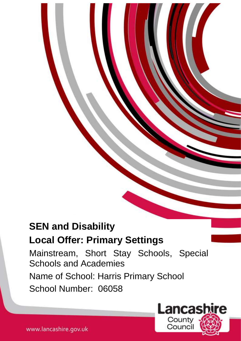# **SEN and Disability**

# **Local Offer: Primary Settings**

Mainstream, Short Stay Schools, Special Schools and Academies Name of School: Harris Primary School School Number: 06058

1

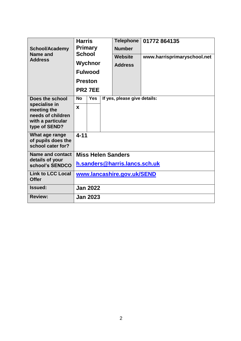| <b>School/Academy</b><br>Name and<br><b>Address</b>                                                        | <b>Harris</b><br><b>Primary</b><br><b>School</b><br>Wychnor<br><b>Fulwood</b><br><b>Preston</b><br><b>PR2 7EE</b> |            | <b>Telephone</b><br><b>Number</b><br><b>Website</b><br><b>Address</b> | 01772 864135<br>www.harrisprimaryschool.net |  |  |
|------------------------------------------------------------------------------------------------------------|-------------------------------------------------------------------------------------------------------------------|------------|-----------------------------------------------------------------------|---------------------------------------------|--|--|
| Does the school<br>specialise in<br>meeting the<br>needs of children<br>with a particular<br>type of SEND? | <b>No</b>                                                                                                         | <b>Yes</b> |                                                                       | If yes, please give details:                |  |  |
|                                                                                                            | X                                                                                                                 |            |                                                                       |                                             |  |  |
| What age range<br>of pupils does the<br>school cater for?                                                  | $4 - 11$                                                                                                          |            |                                                                       |                                             |  |  |
| Name and contact<br>details of your                                                                        | <b>Miss Helen Sanders</b>                                                                                         |            |                                                                       |                                             |  |  |
| school's SENDCO                                                                                            | h.sanders@harris.lancs.sch.uk                                                                                     |            |                                                                       |                                             |  |  |
| <b>Link to LCC Local</b><br><b>Offer</b>                                                                   | www.lancashire.gov.uk/SEND                                                                                        |            |                                                                       |                                             |  |  |
| <b>Issued:</b>                                                                                             | <b>Jan 2022</b>                                                                                                   |            |                                                                       |                                             |  |  |
| <b>Review:</b>                                                                                             | <b>Jan 2023</b>                                                                                                   |            |                                                                       |                                             |  |  |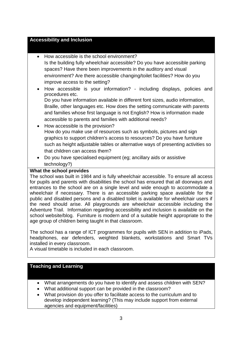#### **Accessibility and Inclusion**

#### • How accessible is the school environment?

- Is the building fully wheelchair accessible? Do you have accessible parking spaces? Have there been improvements in the auditory and visual environment? Are there accessible changing/toilet facilities? How do you improve access to the setting?
- How accessible is your information? including displays, policies and procedures etc.

Do you have information available in different font sizes, audio information, Braille, other languages etc. How does the setting communicate with parents and families whose first language is not English? How is information made accessible to parents and families with additional needs?

- How accessible is the provision? How do you make use of resources such as symbols, pictures and sign graphics to support children's access to resources? Do you have furniture such as height adjustable tables or alternative ways of presenting activities so that children can access them?
- Do you have specialised equipment (eg; ancillary aids or assistive technology?)

#### **What the school provides**

The school was built in 1984 and is fully wheelchair accessible. To ensure all access for pupils and parents with disabilities the school has ensured that all doorways and entrances to the school are on a single level and wide enough to accommodate a wheelchair if necessary. There is an accessible parking space available for the public and disabled persons and a disabled toilet is available for wheelchair users if the need should arise. All playgrounds are wheelchair accessible including the Adventure Trail. Information regarding accessibility and inclusion is available on the school website/blog. Furniture is modern and of a suitable height appropriate to the age group of children being taught in that classroom.

The school has a range of ICT programmes for pupils with SEN in addition to iPads, headphones, ear defenders, weighted blankets, workstations and Smart TVs installed in every classroom.

A visual timetable is included in each classroom.

#### **Teaching and Learning**

- What arrangements do you have to identify and assess children with SEN?
- What additional support can be provided in the classroom?
- What provision do you offer to facilitate access to the curriculum and to develop independent learning? (This may include support from external agencies and equipment/facilities)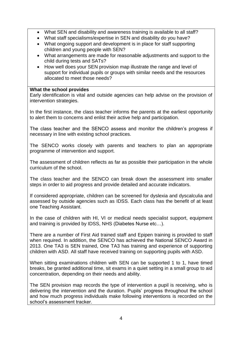- What SEN and disability and awareness training is available to all staff?
- What staff specialisms/expertise in SEN and disability do you have?
- What ongoing support and development is in place for staff supporting children and young people with SEN?
- What arrangements are made for reasonable adjustments and support to the child during tests and SATs?
- How well does your SEN provision map illustrate the range and level of support for individual pupils or groups with similar needs and the resources allocated to meet those needs?

# **What the school provides**

Early identification is vital and outside agencies can help advise on the provision of intervention strategies.

In the first instance, the class teacher informs the parents at the earliest opportunity to alert them to concerns and enlist their active help and participation.

The class teacher and the SENCO assess and monitor the children's progress if necessary in line with existing school practices.

The SENCO works closely with parents and teachers to plan an appropriate programme of intervention and support.

The assessment of children reflects as far as possible their participation in the whole curriculum of the school.

The class teacher and the SENCO can break down the assessment into smaller steps in order to aid progress and provide detailed and accurate indicators.

If considered appropriate, children can be screened for dyslexia and dyscalculia and assessed by outside agencies such as IDSS. Each class has the benefit of at least one Teaching Assistant.

In the case of children with HI, VI or medical needs specialist support, equipment and training is provided by IDSS, NHS (Diabetes Nurse etc…).

There are a number of First Aid trained staff and Epipen training is provided to staff when required. In addition, the SENCO has achieved the National SENCO Award in 2013. One TA3 is SEN trained, One TA3 has training and experience of supporting children with ASD. All staff have received training on supporting pupils with ASD.

When sitting examinations children with SEN can be supported 1 to 1, have timed breaks, be granted additional time, sit exams in a quiet setting in a small group to aid concentration, depending on their needs and ability.

The SEN provision map records the type of intervention a pupil is receiving, who is delivering the intervention and the duration. Pupils' progress throughout the school and how much progress individuals make following interventions is recorded on the school's assessment tracker.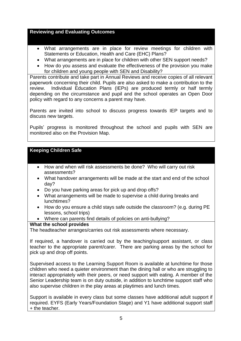# **Reviewing and Evaluating Outcomes**

- What arrangements are in place for review meetings for children with Statements or Education, Health and Care (EHC) Plans?
- What arrangements are in place for children with other SEN support needs?
- How do you assess and evaluate the effectiveness of the provision you make for children and young people with SEN and Disability?

Parents contribute and take part in Annual Reviews and receive copies of all relevant paperwork concerning their child. Pupils are also asked to make a contribution to the review. Individual Education Plans (IEPs) are produced termly or half termly depending on the circumstance and pupil and the school operates an Open Door policy with regard to any concerns a parent may have.

Parents are invited into school to discuss progress towards IEP targets and to discuss new targets.

Pupils' progress is monitored throughout the school and pupils with SEN are monitored also on the Provision Map.

# **Keeping Children Safe**

- How and when will risk assessments be done? Who will carry out risk assessments?
- What handover arrangements will be made at the start and end of the school day?
- Do you have parking areas for pick up and drop offs?
- What arrangements will be made to supervise a child during breaks and lunchtimes?
- How do you ensure a child stays safe outside the classroom? (e.g. during PE lessons, school trips)
- Where can parents find details of policies on anti-bullying?

# **What the school provides**

The headteacher arranges/carries out risk assessments where necessary.

If required, a handover is carried out by the teaching/support assistant, or class teacher to the appropriate parent/carer. There are parking areas by the school for pick up and drop off points.

Supervised access to the Learning Support Room is available at lunchtime for those children who need a quieter environment than the dining hall or who are struggling to interact appropriately with their peers, or need support with eating. A member of the Senior Leadership team is on duty outside, in addition to lunchtime support staff who also supervise children in the play areas at playtimes and lunch times.

Support is available in every class but some classes have additional adult support if required. EYFS (Early Years/Foundation Stage) and Y1 have additional support staff + the teacher.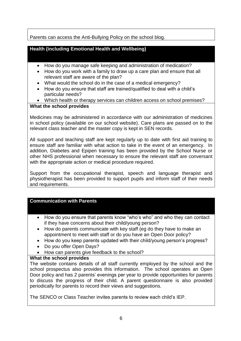Parents can access the Anti-Bullying Policy on the school blog.

# **Health (including Emotional Health and Wellbeing)**

- How do you manage safe keeping and administration of medication?
- How do you work with a family to draw up a care plan and ensure that all relevant staff are aware of the plan?
- What would the school do in the case of a medical emergency?
- How do you ensure that staff are trained/qualified to deal with a child's particular needs?
- Which health or therapy services can children access on school premises?

# **What the school provides**

Medicines may be administered in accordance with our administration of medicines in school policy (available on our school website). Care plans are passed on to the relevant class teacher and the master copy is kept in SEN records.

All support and teaching staff are kept regularly up to date with first aid training to ensure staff are familiar with what action to take in the event of an emergency. In addition, Diabetes and Epipen training has been provided by the School Nurse or other NHS professional when necessary to ensure the relevant staff are conversant with the appropriate action or medical procedure required.

Support from the occupational therapist, speech and language therapist and physiotherapist has been provided to support pupils and inform staff of their needs and requirements.

# **Communication with Parents**

- How do you ensure that parents know "who's who" and who they can contact if they have concerns about their child/young person?
- How do parents communicate with key staff (eg do they have to make an appointment to meet with staff or do you have an Open Door policy?
- How do you keep parents updated with their child/young person's progress?
- Do you offer Open Days?
- How can parents give feedback to the school?

# **What the school provides**

The website contains details of all staff currently employed by the school and the school prospectus also provides this information. The school operates an Open Door policy and has 2 parents' evenings per year to provide opportunities for parents to discuss the progress of their child. A parent questionnaire is also provided periodically for parents to record their views and suggestions.

The SENCO or Class Teacher invites parents to review each child's IEP.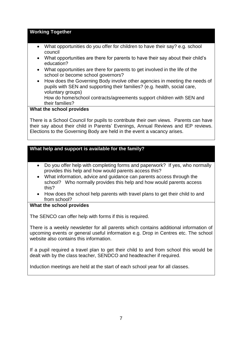#### **Working Together**

- What opportunities do you offer for children to have their say? e.g. school council
- What opportunities are there for parents to have their say about their child's education?
- What opportunities are there for parents to get involved in the life of the school or become school governors?
- How does the Governing Body involve other agencies in meeting the needs of pupils with SEN and supporting their families? (e.g. health, social care, voluntary groups)

How do home/school contracts/agreements support children with SEN and their families?

#### **What the school provides**

There is a School Council for pupils to contribute their own views. Parents can have their say about their child in Parents' Evenings, Annual Reviews and IEP reviews. Elections to the Governing Body are held in the event a vacancy arises.

# **What help and support is available for the family?**

- Do you offer help with completing forms and paperwork? If yes, who normally provides this help and how would parents access this?
- What information, advice and guidance can parents access through the school? Who normally provides this help and how would parents access this?
- How does the school help parents with travel plans to get their child to and from school?

#### **What the school provides**

The SENCO can offer help with forms if this is required.

There is a weekly newsletter for all parents which contains additional information of upcoming events or general useful information e.g. Drop in Centres etc. The school website also contains this information.

If a pupil required a travel plan to get their child to and from school this would be dealt with by the class teacher, SENDCO and headteacher if required.

Induction meetings are held at the start of each school year for all classes.